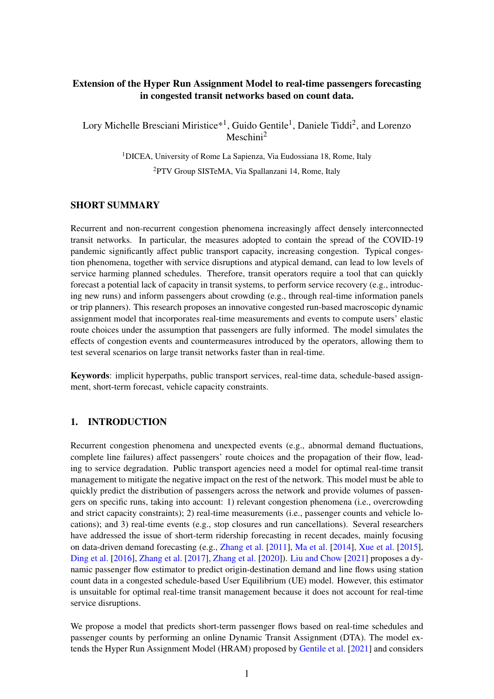## Extension of the Hyper Run Assignment Model to real-time passengers forecasting in congested transit networks based on count data.

Lory Michelle Bresciani Miristice\*<sup>1</sup>, Guido Gentile<sup>1</sup>, Daniele Tiddi<sup>2</sup>, and Lorenzo Meschini<sup>2</sup>

<sup>1</sup>DICEA, University of Rome La Sapienza, Via Eudossiana 18, Rome, Italy

<sup>2</sup>PTV Group SISTeMA, Via Spallanzani 14, Rome, Italy

## SHORT SUMMARY

Recurrent and non-recurrent congestion phenomena increasingly affect densely interconnected transit networks. In particular, the measures adopted to contain the spread of the COVID-19 pandemic significantly affect public transport capacity, increasing congestion. Typical congestion phenomena, together with service disruptions and atypical demand, can lead to low levels of service harming planned schedules. Therefore, transit operators require a tool that can quickly forecast a potential lack of capacity in transit systems, to perform service recovery (e.g., introducing new runs) and inform passengers about crowding (e.g., through real-time information panels or trip planners). This research proposes an innovative congested run-based macroscopic dynamic assignment model that incorporates real-time measurements and events to compute users' elastic route choices under the assumption that passengers are fully informed. The model simulates the effects of congestion events and countermeasures introduced by the operators, allowing them to test several scenarios on large transit networks faster than in real-time.

Keywords: implicit hyperpaths, public transport services, real-time data, schedule-based assignment, short-term forecast, vehicle capacity constraints.

# 1. INTRODUCTION

Recurrent congestion phenomena and unexpected events (e.g., abnormal demand fluctuations, complete line failures) affect passengers' route choices and the propagation of their flow, leading to service degradation. Public transport agencies need a model for optimal real-time transit management to mitigate the negative impact on the rest of the network. This model must be able to quickly predict the distribution of passengers across the network and provide volumes of passengers on specific runs, taking into account: 1) relevant congestion phenomena (i.e., overcrowding and strict capacity constraints); 2) real-time measurements (i.e., passenger counts and vehicle locations); and 3) real-time events (e.g., stop closures and run cancellations). Several researchers have addressed the issue of short-term ridership forecasting in recent decades, mainly focusing on data-driven demand forecasting (e.g., [Zhang et al.](#page-10-0) [\[2011\]](#page-10-0), [Ma et al.](#page-10-1) [\[2014\]](#page-10-1), [Xue et al.](#page-10-2) [\[2015\]](#page-10-2), [Ding et al.](#page-9-0) [\[2016\]](#page-9-0), [Zhang et al.](#page-10-3) [\[2017\]](#page-10-3), [Zhang et al.](#page-10-4) [\[2020\]](#page-10-4)). [Liu and Chow](#page-10-5) [\[2021\]](#page-10-5) proposes a dynamic passenger flow estimator to predict origin-destination demand and line flows using station count data in a congested schedule-based User Equilibrium (UE) model. However, this estimator is unsuitable for optimal real-time transit management because it does not account for real-time service disruptions.

We propose a model that predicts short-term passenger flows based on real-time schedules and passenger counts by performing an online Dynamic Transit Assignment (DTA). The model extends the Hyper Run Assignment Model (HRAM) proposed by [Gentile et al.](#page-10-6) [\[2021\]](#page-10-6) and considers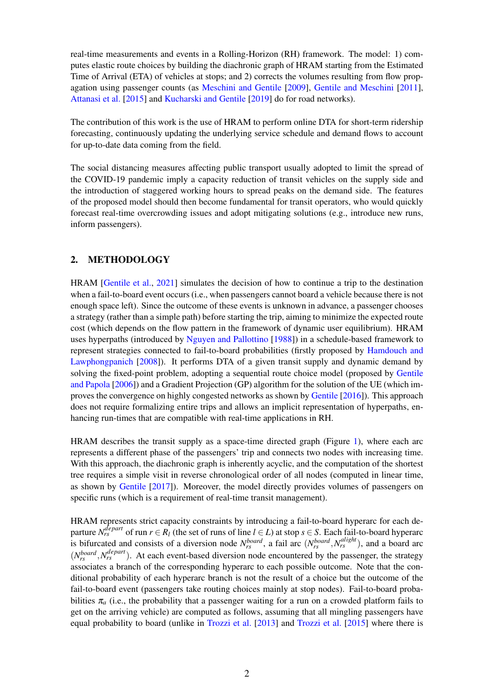real-time measurements and events in a Rolling-Horizon (RH) framework. The model: 1) computes elastic route choices by building the diachronic graph of HRAM starting from the Estimated Time of Arrival (ETA) of vehicles at stops; and 2) corrects the volumes resulting from flow propagation using passenger counts (as [Meschini and Gentile](#page-10-7) [\[2009\]](#page-10-7), [Gentile and Meschini](#page-9-1) [\[2011\]](#page-9-1), [Attanasi et al.](#page-9-2) [\[2015\]](#page-9-2) and [Kucharski and Gentile](#page-10-8) [\[2019\]](#page-10-8) do for road networks).

The contribution of this work is the use of HRAM to perform online DTA for short-term ridership forecasting, continuously updating the underlying service schedule and demand flows to account for up-to-date data coming from the field.

The social distancing measures affecting public transport usually adopted to limit the spread of the COVID-19 pandemic imply a capacity reduction of transit vehicles on the supply side and the introduction of staggered working hours to spread peaks on the demand side. The features of the proposed model should then become fundamental for transit operators, who would quickly forecast real-time overcrowding issues and adopt mitigating solutions (e.g., introduce new runs, inform passengers).

## 2. METHODOLOGY

HRAM [\[Gentile et al.,](#page-10-6) [2021\]](#page-10-6) simulates the decision of how to continue a trip to the destination when a fail-to-board event occurs (i.e., when passengers cannot board a vehicle because there is not enough space left). Since the outcome of these events is unknown in advance, a passenger chooses a strategy (rather than a simple path) before starting the trip, aiming to minimize the expected route cost (which depends on the flow pattern in the framework of dynamic user equilibrium). HRAM uses hyperpaths (introduced by [Nguyen and Pallottino](#page-10-9) [\[1988\]](#page-10-9)) in a schedule-based framework to represent strategies connected to fail-to-board probabilities (firstly proposed by [Hamdouch and](#page-10-10) [Lawphongpanich](#page-10-10) [\[2008\]](#page-10-10)). It performs DTA of a given transit supply and dynamic demand by solving the fixed-point problem, adopting a sequential route choice model (proposed by [Gentile](#page-9-3) [and Papola](#page-9-3) [\[2006\]](#page-9-3)) and a Gradient Projection (GP) algorithm for the solution of the UE (which improves the convergence on highly congested networks as shown by [Gentile](#page-9-4) [\[2016\]](#page-9-4)). This approach does not require formalizing entire trips and allows an implicit representation of hyperpaths, enhancing run-times that are compatible with real-time applications in RH.

HRAM describes the transit supply as a space-time directed graph (Figure [1\)](#page-2-0), where each arc represents a different phase of the passengers' trip and connects two nodes with increasing time. With this approach, the diachronic graph is inherently acyclic, and the computation of the shortest tree requires a simple visit in reverse chronological order of all nodes (computed in linear time, as shown by [Gentile](#page-9-5) [\[2017\]](#page-9-5)). Moreover, the model directly provides volumes of passengers on specific runs (which is a requirement of real-time transit management).

HRAM represents strict capacity constraints by introducing a fail-to-board hyperarc for each departure  $N_{rs}^{depart}$  of run  $r \in R_l$  (the set of runs of line  $l \in L$ ) at stop  $s \in S$ . Each fail-to-board hyperarc is bifurcated and consists of a diversion node  $N_{rs}^{board}$ , a fail arc  $(N_{rs}^{board}, N_{rs}^{align})$ , and a board arc  $(N_{rs}^{board}, N_{rs}^{depart})$ . At each event-based diversion node encountered by the passenger, the strategy associates a branch of the corresponding hyperarc to each possible outcome. Note that the conditional probability of each hyperarc branch is not the result of a choice but the outcome of the fail-to-board event (passengers take routing choices mainly at stop nodes). Fail-to-board probabilities  $\pi_a$  (i.e., the probability that a passenger waiting for a run on a crowded platform fails to get on the arriving vehicle) are computed as follows, assuming that all mingling passengers have equal probability to board (unlike in [Trozzi et al.](#page-10-11) [\[2013\]](#page-10-11) and [Trozzi et al.](#page-10-12) [\[2015\]](#page-10-12) where there is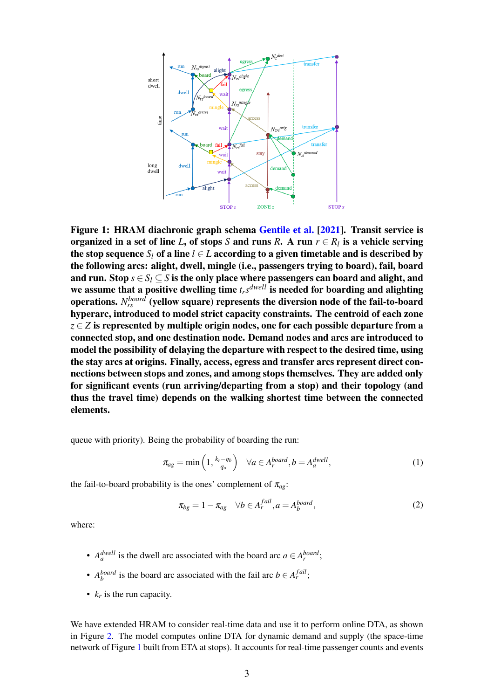<span id="page-2-0"></span>

Figure 1: HRAM diachronic graph schema [Gentile et al.](#page-10-6) [\[2021\]](#page-10-6). Transit service is organized in a set of line *L*, of stops *S* and runs *R*. A run  $r \in R_l$  is a vehicle serving the stop sequence  $S_l$  of a line  $l \in L$  according to a given timetable and is described by the following arcs: alight, dwell, mingle (i.e., passengers trying to board), fail, board and run. Stop  $s \in S_l \subset S$  is the only place where passengers can board and alight, and we assume that a positive dwelling time *trs dwell* is needed for boarding and alighting operations.  $N_{rs}^{board}$  (yellow square) represents the diversion node of the fail-to-board hyperarc, introduced to model strict capacity constraints. The centroid of each zone *z* ∈ *Z* is represented by multiple origin nodes, one for each possible departure from a connected stop, and one destination node. Demand nodes and arcs are introduced to model the possibility of delaying the departure with respect to the desired time, using the stay arcs at origins. Finally, access, egress and transfer arcs represent direct connections between stops and zones, and among stops themselves. They are added only for significant events (run arriving/departing from a stop) and their topology (and thus the travel time) depends on the walking shortest time between the connected elements.

queue with priority). Being the probability of boarding the run:

<span id="page-2-1"></span>
$$
\pi_{ag} = \min\left(1, \frac{k_r - q_b}{q_a}\right) \quad \forall a \in A_r^{board}, b = A_a^{dwell}, \tag{1}
$$

the fail-to-board probability is the ones' complement of  $\pi_{ag}$ :

<span id="page-2-2"></span>
$$
\pi_{bg} = 1 - \pi_{ag} \quad \forall b \in A_r^{fail}, a = A_b^{board}, \tag{2}
$$

where:

- $A_a^{dwell}$  is the dwell arc associated with the board arc  $a \in A_r^{board}$ ;
- *A*<sup>*board*</sup> is the board arc associated with the fail arc  $b \in A_r^{fail}$ ;
- $k_r$  is the run capacity.

We have extended HRAM to consider real-time data and use it to perform online DTA, as shown in Figure [2.](#page-3-0) The model computes online DTA for dynamic demand and supply (the space-time network of Figure [1](#page-2-0) built from ETA at stops). It accounts for real-time passenger counts and events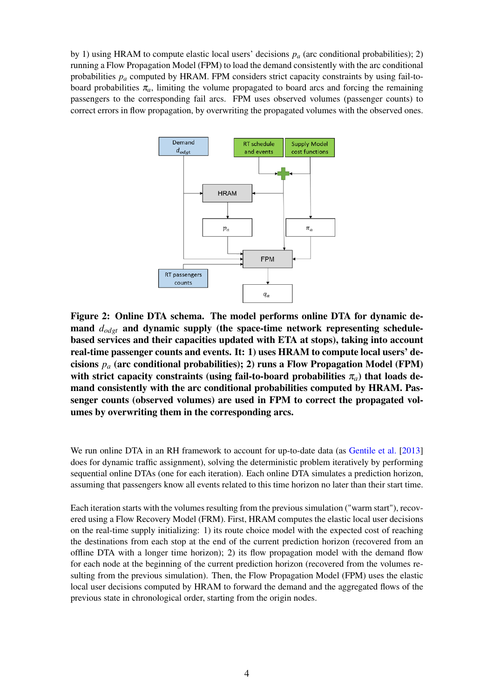by 1) using HRAM to compute elastic local users' decisions  $p_a$  (arc conditional probabilities); 2) running a Flow Propagation Model (FPM) to load the demand consistently with the arc conditional probabilities *p<sup>a</sup>* computed by HRAM. FPM considers strict capacity constraints by using fail-toboard probabilities  $\pi_a$ , limiting the volume propagated to board arcs and forcing the remaining passengers to the corresponding fail arcs. FPM uses observed volumes (passenger counts) to correct errors in flow propagation, by overwriting the propagated volumes with the observed ones.

<span id="page-3-0"></span>

Figure 2: Online DTA schema. The model performs online DTA for dynamic demand *dodgt* and dynamic supply (the space-time network representing schedulebased services and their capacities updated with ETA at stops), taking into account real-time passenger counts and events. It: 1) uses HRAM to compute local users' decisions *p<sup>a</sup>* (arc conditional probabilities); 2) runs a Flow Propagation Model (FPM) with strict capacity constraints (using fail-to-board probabilities  $\pi_a$ ) that loads demand consistently with the arc conditional probabilities computed by HRAM. Passenger counts (observed volumes) are used in FPM to correct the propagated volumes by overwriting them in the corresponding arcs.

We run online DTA in an RH framework to account for up-to-date data (as [Gentile et al.](#page-10-13) [\[2013\]](#page-10-13) does for dynamic traffic assignment), solving the deterministic problem iteratively by performing sequential online DTAs (one for each iteration). Each online DTA simulates a prediction horizon, assuming that passengers know all events related to this time horizon no later than their start time.

Each iteration starts with the volumes resulting from the previous simulation ("warm start"), recovered using a Flow Recovery Model (FRM). First, HRAM computes the elastic local user decisions on the real-time supply initializing: 1) its route choice model with the expected cost of reaching the destinations from each stop at the end of the current prediction horizon (recovered from an offline DTA with a longer time horizon); 2) its flow propagation model with the demand flow for each node at the beginning of the current prediction horizon (recovered from the volumes resulting from the previous simulation). Then, the Flow Propagation Model (FPM) uses the elastic local user decisions computed by HRAM to forward the demand and the aggregated flows of the previous state in chronological order, starting from the origin nodes.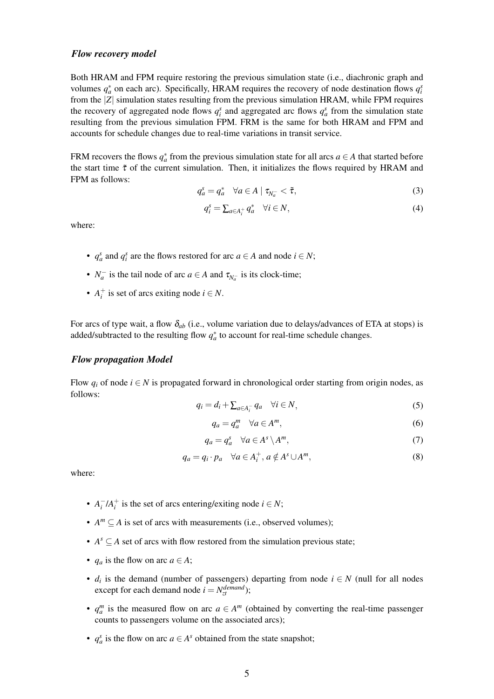#### *Flow recovery model*

Both HRAM and FPM require restoring the previous simulation state (i.e., diachronic graph and volumes  $q_a^*$  on each arc). Specifically, HRAM requires the recovery of node destination flows  $q_i^s$ from the |*Z*| simulation states resulting from the previous simulation HRAM, while FPM requires the recovery of aggregated node flows  $q_i^s$  and aggregated arc flows  $q_a^s$  from the simulation state resulting from the previous simulation FPM. FRM is the same for both HRAM and FPM and accounts for schedule changes due to real-time variations in transit service.

FRM recovers the flows  $q_a^*$  from the previous simulation state for all arcs  $a \in A$  that started before the start time  $\tilde{\tau}$  of the current simulation. Then, it initializes the flows required by HRAM and FPM as follows:

$$
q_a^s = q_a^* \quad \forall a \in A \mid \tau_{N_a^-} < \tilde{\tau}, \tag{3}
$$

$$
q_i^s = \sum_{a \in A_i^+} q_a^* \quad \forall i \in N,
$$
\n<sup>(4)</sup>

where:

- $q_a^s$  and  $q_i^s$  are the flows restored for arc  $a \in A$  and node  $i \in N$ ;
- $N_a^-$  is the tail node of arc  $a \in A$  and  $\tau_{N_a^-}$  is its clock-time;
- $A_i^+$  is set of arcs exiting node  $i \in N$ .

For arcs of type wait, a flow  $\delta_{ab}$  (i.e., volume variation due to delays/advances of ETA at stops) is added/subtracted to the resulting flow  $q_a^*$  to account for real-time schedule changes.

#### *Flow propagation Model*

Flow  $q_i$  of node  $i \in N$  is propagated forward in chronological order starting from origin nodes, as follows:

$$
q_i = d_i + \sum_{a \in A_i^-} q_a \quad \forall i \in N,
$$
\n<sup>(5)</sup>

$$
q_a = q_a^m \quad \forall a \in A^m,
$$
\n<sup>(6)</sup>

$$
q_a = q_a^s \quad \forall a \in A^s \setminus A^m,\tag{7}
$$

$$
q_a = q_i \cdot p_a \quad \forall a \in A_i^+, \ a \notin A^s \cup A^m,
$$
\n<sup>(8)</sup>

where:

- $A_i^-/A_i^+$  is the set of arcs entering/exiting node  $i \in N$ ;
- $A^m \subseteq A$  is set of arcs with measurements (i.e., observed volumes);
- $A^s \subseteq A$  set of arcs with flow restored from the simulation previous state;
- $q_a$  is the flow on arc  $a \in A$ ;
- $d_i$  is the demand (number of passengers) departing from node  $i \in N$  (null for all nodes except for each demand node  $i = N_{zt}^{demand}$ );
- $q_a^m$  is the measured flow on arc  $a \in A^m$  (obtained by converting the real-time passenger counts to passengers volume on the associated arcs);
- $q_a^s$  is the flow on arc  $a \in A^s$  obtained from the state snapshot;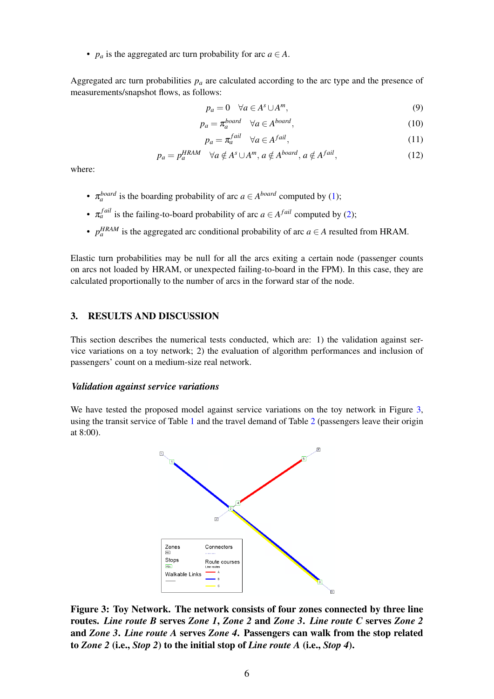•  $p_a$  is the aggregated arc turn probability for arc  $a \in A$ .

Aggregated arc turn probabilities  $p_a$  are calculated according to the arc type and the presence of measurements/snapshot flows, as follows:

$$
p_a = 0 \quad \forall a \in A^s \cup A^m,
$$
\n(9)

$$
p_a = \pi_a^{board} \quad \forall a \in A^{board}, \tag{10}
$$

$$
p_a = \pi_a^{fail} \quad \forall a \in A^{fail}, \tag{11}
$$

$$
p_a = p_a^{HRAM} \quad \forall a \notin A^s \cup A^m, a \notin A^{board}, a \notin A^{fail}, \tag{12}
$$

where:

- $\pi_a^{board}$  is the boarding probability of arc  $a \in A^{board}$  computed by [\(1\)](#page-2-1);
- $\pi_a^{fail}$  is the failing-to-board probability of arc  $a \in A^{fail}$  computed by [\(2\)](#page-2-2);
- $p_a^{HRAM}$  is the aggregated arc conditional probability of arc  $a \in A$  resulted from HRAM.

Elastic turn probabilities may be null for all the arcs exiting a certain node (passenger counts on arcs not loaded by HRAM, or unexpected failing-to-board in the FPM). In this case, they are calculated proportionally to the number of arcs in the forward star of the node.

## 3. RESULTS AND DISCUSSION

This section describes the numerical tests conducted, which are: 1) the validation against service variations on a toy network; 2) the evaluation of algorithm performances and inclusion of passengers' count on a medium-size real network.

#### *Validation against service variations*

<span id="page-5-0"></span>We have tested the proposed model against service variations on the toy network in Figure [3,](#page-5-0) using the transit service of Table  $1$  and the travel demand of Table  $2$  (passengers leave their origin at 8:00).



Figure 3: Toy Network. The network consists of four zones connected by three line routes. *Line route B* serves *Zone 1*, *Zone 2* and *Zone 3*. *Line route C* serves *Zone 2* and *Zone 3*. *Line route A* serves *Zone 4*. Passengers can walk from the stop related to *Zone 2* (i.e., *Stop 2*) to the initial stop of *Line route A* (i.e., *Stop 4*).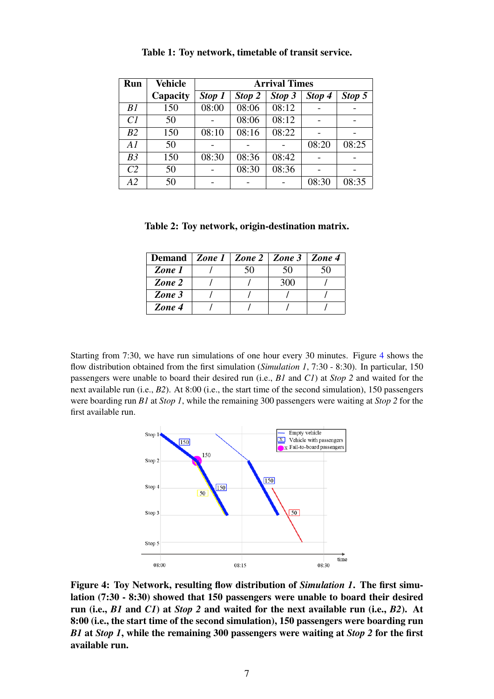<span id="page-6-0"></span>

| Run            | <b>Vehicle</b> | <b>Arrival Times</b> |        |        |        |        |  |
|----------------|----------------|----------------------|--------|--------|--------|--------|--|
|                | Capacity       | Stop 1               | Stop 2 | Stop 3 | Stop 4 | Stop 5 |  |
| B1             | 150            | 08:00                | 08:06  | 08:12  |        |        |  |
| Cl             | 50             |                      | 08:06  | 08:12  |        |        |  |
| B <sub>2</sub> | 150            | 08:10                | 08:16  | 08:22  |        |        |  |
| A1             | 50             |                      |        |        | 08:20  | 08:25  |  |
| B <sub>3</sub> | 150            | 08:30                | 08:36  | 08:42  |        |        |  |
| C <sub>2</sub> | 50             |                      | 08:30  | 08:36  |        |        |  |
| A2             | 50             |                      |        |        | 08:30  | 08:35  |  |

Table 1: Toy network, timetable of transit service.

<span id="page-6-1"></span>Table 2: Toy network, origin-destination matrix.

| Demand   Zone 1   Zone 2   Zone 3   Zone 4 |     |     |  |
|--------------------------------------------|-----|-----|--|
| Zone 1                                     | 50. | 50  |  |
| Zone 2                                     |     | 300 |  |
| Zone 3                                     |     |     |  |
| Zone 4                                     |     |     |  |

Starting from 7:30, we have run simulations of one hour every 30 minutes. Figure [4](#page-6-2) shows the flow distribution obtained from the first simulation (*Simulation 1*, 7:30 - 8:30). In particular, 150 passengers were unable to board their desired run (i.e., *B1* and *C1*) at *Stop 2* and waited for the next available run (i.e., *B2*). At 8:00 (i.e., the start time of the second simulation), 150 passengers were boarding run *B1* at *Stop 1*, while the remaining 300 passengers were waiting at *Stop 2* for the first available run.

<span id="page-6-2"></span>

Figure 4: Toy Network, resulting flow distribution of *Simulation 1*. The first simulation (7:30 - 8:30) showed that 150 passengers were unable to board their desired run (i.e., *B1* and *C1*) at *Stop 2* and waited for the next available run (i.e., *B2*). At 8:00 (i.e., the start time of the second simulation), 150 passengers were boarding run *B1* at *Stop 1*, while the remaining 300 passengers were waiting at *Stop 2* for the first available run.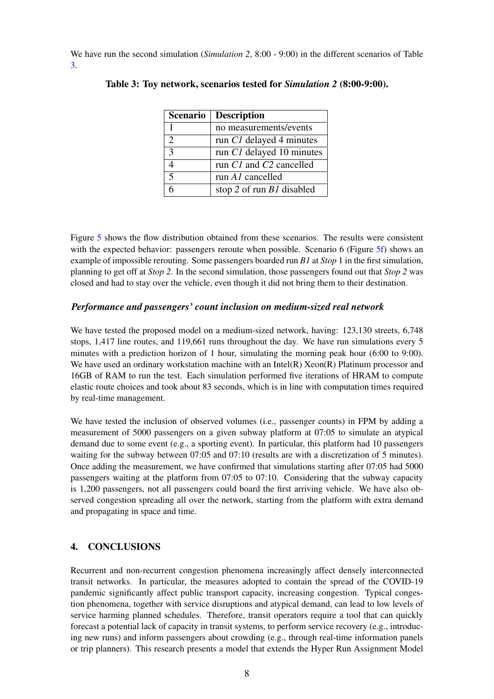<span id="page-7-0"></span>We have run the second simulation (*Simulation 2*, 8:00 - 9:00) in the different scenarios of Table [3.](#page-7-0)

| <b>Scenario</b> | <b>Description</b>               |
|-----------------|----------------------------------|
| 1               | no measurements/events           |
| $\mathfrak{D}$  | run C1 delayed 4 minutes         |
| 3               | run C1 delayed 10 minutes        |
| 4               | run C1 and C2 cancelled          |
| 5               | run A1 cancelled                 |
|                 | stop 2 of run <i>B1</i> disabled |

Table 3: Toy network, scenarios tested for *Simulation 2* (8:00-9:00).

Figure [5](#page-8-0) shows the flow distribution obtained from these scenarios. The results were consistent with the expected behavior: passengers reroute when possible. Scenario 6 (Figure [5f\)](#page-8-0) shows an example of impossible rerouting. Some passengers boarded run *B1* at *Stop* 1 in the first simulation, planning to get off at *Stop 2*. In the second simulation, those passengers found out that *Stop 2* was closed and had to stay over the vehicle, even though it did not bring them to their destination.

#### *Performance and passengers' count inclusion on medium-sized real network*

We have tested the proposed model on a medium-sized network, having: 123,130 streets, 6,748 stops, 1,417 line routes, and 119,661 runs throughout the day. We have run simulations every 5 minutes with a prediction horizon of 1 hour, simulating the morning peak hour (6:00 to 9:00). We have used an ordinary workstation machine with an Intel(R) Xeon(R) Platinum processor and 16GB of RAM to run the test. Each simulation performed five iterations of HRAM to compute elastic route choices and took about 83 seconds, which is in line with computation times required by real-time management.

We have tested the inclusion of observed volumes (i.e., passenger counts) in FPM by adding a measurement of 5000 passengers on a given subway platform at 07:05 to simulate an atypical demand due to some event (e.g., a sporting event). In particular, this platform had 10 passengers waiting for the subway between 07:05 and 07:10 (results are with a discretization of 5 minutes). Once adding the measurement, we have confirmed that simulations starting after 07:05 had 5000 passengers waiting at the platform from 07:05 to 07:10. Considering that the subway capacity is 1,200 passengers, not all passengers could board the first arriving vehicle. We have also observed congestion spreading all over the network, starting from the platform with extra demand and propagating in space and time.

## 4. CONCLUSIONS

Recurrent and non-recurrent congestion phenomena increasingly affect densely interconnected transit networks. In particular, the measures adopted to contain the spread of the COVID-19 pandemic significantly affect public transport capacity, increasing congestion. Typical congestion phenomena, together with service disruptions and atypical demand, can lead to low levels of service harming planned schedules. Therefore, transit operators require a tool that can quickly forecast a potential lack of capacity in transit systems, to perform service recovery (e.g., introducing new runs) and inform passengers about crowding (e.g., through real-time information panels or trip planners). This research presents a model that extends the Hyper Run Assignment Model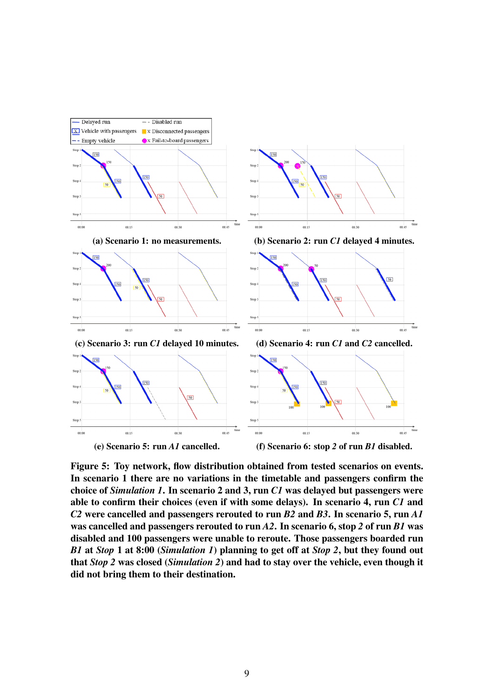<span id="page-8-0"></span>

Figure 5: Toy network, flow distribution obtained from tested scenarios on events. In scenario 1 there are no variations in the timetable and passengers confirm the choice of *Simulation 1*. In scenario 2 and 3, run *C1* was delayed but passengers were able to confirm their choices (even if with some delays). In scenario 4, run *C1* and *C2* were cancelled and passengers rerouted to run *B2* and *B3*. In scenario 5, run *A1* was cancelled and passengers rerouted to run *A2*. In scenario 6, stop *2* of run *B1* was disabled and 100 passengers were unable to reroute. Those passengers boarded run *B1* at *Stop* 1 at 8:00 (*Simulation 1*) planning to get off at *Stop 2*, but they found out that *Stop 2* was closed (*Simulation 2*) and had to stay over the vehicle, even though it did not bring them to their destination.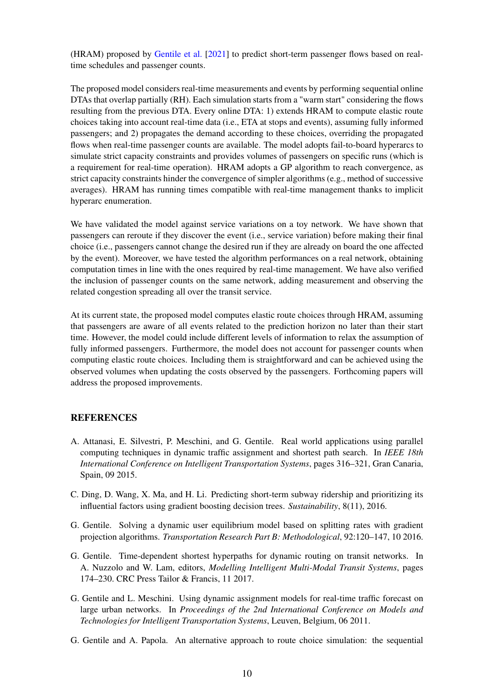(HRAM) proposed by [Gentile et al.](#page-10-6) [\[2021\]](#page-10-6) to predict short-term passenger flows based on realtime schedules and passenger counts.

The proposed model considers real-time measurements and events by performing sequential online DTAs that overlap partially (RH). Each simulation starts from a "warm start" considering the flows resulting from the previous DTA. Every online DTA: 1) extends HRAM to compute elastic route choices taking into account real-time data (i.e., ETA at stops and events), assuming fully informed passengers; and 2) propagates the demand according to these choices, overriding the propagated flows when real-time passenger counts are available. The model adopts fail-to-board hyperarcs to simulate strict capacity constraints and provides volumes of passengers on specific runs (which is a requirement for real-time operation). HRAM adopts a GP algorithm to reach convergence, as strict capacity constraints hinder the convergence of simpler algorithms (e.g., method of successive averages). HRAM has running times compatible with real-time management thanks to implicit hyperarc enumeration.

We have validated the model against service variations on a toy network. We have shown that passengers can reroute if they discover the event (i.e., service variation) before making their final choice (i.e., passengers cannot change the desired run if they are already on board the one affected by the event). Moreover, we have tested the algorithm performances on a real network, obtaining computation times in line with the ones required by real-time management. We have also verified the inclusion of passenger counts on the same network, adding measurement and observing the related congestion spreading all over the transit service.

At its current state, the proposed model computes elastic route choices through HRAM, assuming that passengers are aware of all events related to the prediction horizon no later than their start time. However, the model could include different levels of information to relax the assumption of fully informed passengers. Furthermore, the model does not account for passenger counts when computing elastic route choices. Including them is straightforward and can be achieved using the observed volumes when updating the costs observed by the passengers. Forthcoming papers will address the proposed improvements.

## **REFERENCES**

- <span id="page-9-2"></span>A. Attanasi, E. Silvestri, P. Meschini, and G. Gentile. Real world applications using parallel computing techniques in dynamic traffic assignment and shortest path search. In *IEEE 18th International Conference on Intelligent Transportation Systems*, pages 316–321, Gran Canaria, Spain, 09 2015.
- <span id="page-9-0"></span>C. Ding, D. Wang, X. Ma, and H. Li. Predicting short-term subway ridership and prioritizing its influential factors using gradient boosting decision trees. *Sustainability*, 8(11), 2016.
- <span id="page-9-4"></span>G. Gentile. Solving a dynamic user equilibrium model based on splitting rates with gradient projection algorithms. *Transportation Research Part B: Methodological*, 92:120–147, 10 2016.
- <span id="page-9-5"></span>G. Gentile. Time-dependent shortest hyperpaths for dynamic routing on transit networks. In A. Nuzzolo and W. Lam, editors, *Modelling Intelligent Multi-Modal Transit Systems*, pages 174–230. CRC Press Tailor & Francis, 11 2017.
- <span id="page-9-1"></span>G. Gentile and L. Meschini. Using dynamic assignment models for real-time traffic forecast on large urban networks. In *Proceedings of the 2nd International Conference on Models and Technologies for Intelligent Transportation Systems*, Leuven, Belgium, 06 2011.
- <span id="page-9-3"></span>G. Gentile and A. Papola. An alternative approach to route choice simulation: the sequential